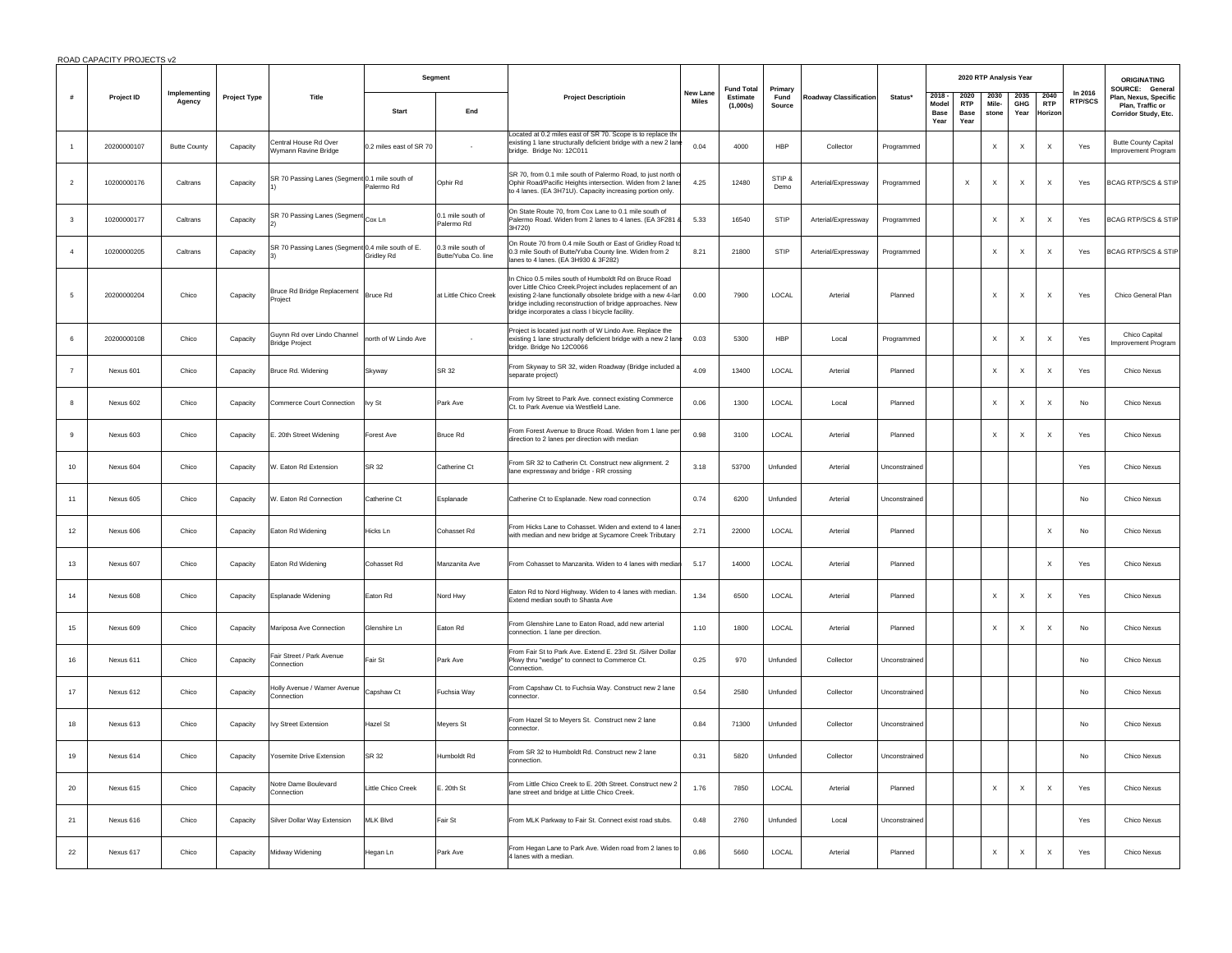|  | ROAD CAPACITY PROJECTS v2 |
|--|---------------------------|

|                         |             |                        |              |                                                      | Segment                 |                                          |                                                                                                                                                                                                                                                                                                     | New Lane<br>Estimate | <b>Fund Total</b><br>Primary |                |                               |               |                                      |                                    |                           | 2020 RTP Analysis Year    |                               |                           |                                                                                      | <b>ORIGINATING</b> |
|-------------------------|-------------|------------------------|--------------|------------------------------------------------------|-------------------------|------------------------------------------|-----------------------------------------------------------------------------------------------------------------------------------------------------------------------------------------------------------------------------------------------------------------------------------------------------|----------------------|------------------------------|----------------|-------------------------------|---------------|--------------------------------------|------------------------------------|---------------------------|---------------------------|-------------------------------|---------------------------|--------------------------------------------------------------------------------------|--------------------|
| #                       | Project ID  | Implementing<br>Agency | Project Type | Title                                                | <b>Start</b>            | End                                      | <b>Project Descriptioin</b>                                                                                                                                                                                                                                                                         | <b>Miles</b>         | (1,000s)                     | Fund<br>Source | <b>Roadway Classification</b> | Status*       | 2018<br>Model<br><b>Base</b><br>Year | 2020<br><b>RTP</b><br>Base<br>Year | 2030<br>Mile-<br>stone    | 2035<br>GHG<br>Year       | 2040<br><b>RTP</b><br>Horizor | In 2016<br><b>RTP/SCS</b> | SOURCE: General<br>Plan, Nexus, Specific<br>Plan, Traffic or<br>Corridor Study, Etc. |                    |
|                         | 20200000107 | <b>Butte County</b>    | Capacity     | Central House Rd Over<br>Wymann Ravine Bridge        | 0.2 miles east of SR 70 |                                          | Located at 0.2 miles east of SR 70. Scope is to replace the<br>existing 1 lane structurally deficient bridge with a new 2 lane<br>bridge. Bridge No: 12C011                                                                                                                                         | 0.04                 | 4000                         | HBP            | Collector                     | Programmed    |                                      |                                    | X                         | $\boldsymbol{\mathsf{X}}$ | X                             | Yes                       | <b>Butte County Capital</b><br>Improvement Program                                   |                    |
| $\overline{2}$          | 10200000176 | Caltrans               | Capacity     | SR 70 Passing Lanes (Segment 0.1 mile south of       | Palermo Rd              | Ophir Rd                                 | SR 70, from 0.1 mile south of Palermo Road, to just north o<br>Ophir Road/Pacific Heights intersection. Widen from 2 lane<br>to 4 lanes. (EA 3H71U). Capacity increasing portion only.                                                                                                              | 4.25                 | 12480                        | STIP &<br>Demo | Arterial/Expressway           | Programmed    |                                      | $\times$                           | X                         | $\times$                  | $\mathsf{x}$                  | Yes                       | <b>BCAG RTP/SCS &amp; STIP</b>                                                       |                    |
| $\overline{\mathbf{3}}$ | 10200000177 | Caltrans               | Capacity     | SR 70 Passing Lanes (Segment                         | Cox Ln                  | 0.1 mile south of<br>Palermo Rd          | On State Route 70, from Cox Lane to 0.1 mile south of<br>Palermo Road. Widen from 2 lanes to 4 lanes. (EA 3F281<br>3H720)                                                                                                                                                                           | 5.33                 | 16540                        | STIP           | Arterial/Expressway           | Programmed    |                                      |                                    | X                         | X                         | $\times$                      | Yes                       | <b>BCAG RTP/SCS &amp; STIP</b>                                                       |                    |
|                         | 10200000205 | Caltrans               | Capacity     | SR 70 Passing Lanes (Segment 0.4 mile south of E.    | <b>Gridlev Rd</b>       | 0.3 mile south of<br>Butte/Yuba Co. line | On Route 70 from 0.4 mile South or East of Gridley Road to<br>0.3 mile South of Butte/Yuba County line, Widen from 2<br>anes to 4 lanes. (EA 3H930 & 3F282)                                                                                                                                         | 8.21                 | 21800                        | STIP           | Arterial/Expressway           | Programmed    |                                      |                                    | X                         | X                         | $\mathsf{x}$                  | Yes                       | <b>BCAG RTP/SCS &amp; STIP</b>                                                       |                    |
| 5                       | 20200000204 | Chico                  | Capacity     | Bruce Rd Bridge Replacement<br>Project               | Bruce Rd                | at Little Chico Creek                    | In Chico 0.5 miles south of Humboldt Rd on Bruce Road<br>over Little Chico Creek.Project includes replacement of an<br>xisting 2-lane functionally obsolete bridge with a new 4-lar<br>pridge including reconstruction of bridge approaches. New<br>pridge incorporates a class I bicycle facility. | 0.00                 | 7900                         | LOCAL          | Arterial                      | Planned       |                                      |                                    | $\boldsymbol{\mathsf{X}}$ | X                         | $\boldsymbol{\mathsf{x}}$     | Yes                       | Chico General Plan                                                                   |                    |
| 6                       | 20200000108 | Chico                  | Capacity     | Guynn Rd over Lindo Channel<br><b>Bridge Project</b> | north of W Lindo Ave    |                                          | Project is located just north of W Lindo Ave. Replace the<br>existing 1 lane structurally deficient bridge with a new 2 lane<br>bridge. Bridge No 12C0066                                                                                                                                           | 0.03                 | 5300                         | <b>HBP</b>     | Local                         | Programmed    |                                      |                                    | $\boldsymbol{\mathsf{X}}$ | $\mathsf X$               | $\boldsymbol{\mathsf{X}}$     | Yes                       | Chico Capital<br><b>Improvement Program</b>                                          |                    |
| $\overline{7}$          | Nexus 601   | Chico                  | Capacity     | Bruce Rd. Widening                                   | Skyway                  | SR 32                                    | From Skyway to SR 32, widen Roadway (Bridge included<br>separate project)                                                                                                                                                                                                                           | 4.09                 | 13400                        | LOCAL          | Arterial                      | Planned       |                                      |                                    | X                         | X                         | $\times$                      | Yes                       | Chico Nexus                                                                          |                    |
| -8                      | Nexus 602   | Chico                  | Capacity     | Commerce Court Connection                            | Ivy St                  | Park Ave                                 | From Ivy Street to Park Ave. connect existing Commerce<br>Ct. to Park Avenue via Westfield Lane.                                                                                                                                                                                                    | 0.06                 | 1300                         | LOCAL          | Local                         | Planned       |                                      |                                    | $\boldsymbol{\mathsf{X}}$ | $\boldsymbol{\mathsf{x}}$ | $\mathsf{x}$                  | No                        | <b>Chico Nexus</b>                                                                   |                    |
| $_{9}$                  | Nexus 603   | Chico                  | Capacity     | E. 20th Street Widening                              | Forest Ave              | <b>Bruce Rd</b>                          | From Forest Avenue to Bruce Road. Widen from 1 lane pe<br>direction to 2 lanes per direction with median                                                                                                                                                                                            | 0.98                 | 3100                         | LOCAL          | Arterial                      | Planned       |                                      |                                    | $\mathsf X$               | $\boldsymbol{\mathsf{X}}$ | $\boldsymbol{\mathsf{x}}$     | Yes                       | Chico Nexus                                                                          |                    |
| 10                      | Nexus 604   | Chico                  | Capacity     | W. Eaton Rd Extension                                | SR 32                   | Catherine Ct                             | From SR 32 to Catherin Ct. Construct new alignment. 2<br>lane expressway and bridge - RR crossing                                                                                                                                                                                                   | 3.18                 | 53700                        | Unfunded       | Arterial                      | Unconstrained |                                      |                                    |                           |                           |                               | Yes                       | Chico Nexus                                                                          |                    |
| 11                      | Nexus 605   | Chico                  | Capacity     | W. Eaton Rd Connection                               | Catherine Ct            | Esplanade                                | Catherine Ct to Esplanade. New road connection                                                                                                                                                                                                                                                      | 0.74                 | 6200                         | Unfunded       | Arterial                      | Unconstrained |                                      |                                    |                           |                           |                               | $_{\sf No}$               | Chico Nexus                                                                          |                    |
| 12                      | Nexus 606   | Chico                  | Capacity     | Eaton Rd Widening                                    | Hicks Ln                | Cohasset Rd                              | From Hicks I ane to Cohasset. Widen and extend to 4 lane<br>with median and new bridge at Sycamore Creek Tributary                                                                                                                                                                                  | 2.71                 | 22000                        | LOCAL          | Arterial                      | Planned       |                                      |                                    |                           |                           | $\boldsymbol{\mathsf{x}}$     | No                        | Chico Nexus                                                                          |                    |
| 13                      | Nexus 607   | Chico                  | Capacity     | Eaton Rd Widening                                    | Cohasset Rd             | Manzanita Ave                            | From Cohasset to Manzanita. Widen to 4 lanes with media                                                                                                                                                                                                                                             | 5.17                 | 14000                        | LOCAL          | Arterial                      | Planned       |                                      |                                    |                           |                           | $\boldsymbol{\mathsf{x}}$     | Yes                       | Chico Nexus                                                                          |                    |
| 14                      | Nexus 608   | Chico                  | Capacity     | Esplanade Widening                                   | Eaton Rd                | Nord Hwy                                 | Eaton Rd to Nord Highway. Widen to 4 lanes with median.<br>Extend median south to Shasta Ave                                                                                                                                                                                                        | 1.34                 | 6500                         | LOCAL          | Arterial                      | Planned       |                                      |                                    | $\mathsf X$               | $\boldsymbol{\mathsf{X}}$ | $\boldsymbol{\mathsf{x}}$     | Yes                       | Chico Nexus                                                                          |                    |
| 15                      | Nexus 609   | Chico                  | Capacity     | Mariposa Ave Connection                              | Glenshire Ln            | Eaton Rd                                 | From Glenshire Lane to Eaton Road, add new arterial<br>connection. 1 lane per direction.                                                                                                                                                                                                            | 1.10                 | 1800                         | LOCAL          | Arterial                      | Planned       |                                      |                                    | X                         | $\times$                  | $\boldsymbol{\mathsf{x}}$     | No                        | Chico Nexus                                                                          |                    |
| 16                      | Nexus 611   | Chico                  | Capacity     | Fair Street / Park Avenue<br>Connection              | Fair St                 | Park Ave                                 | From Fair St to Park Ave. Extend E. 23rd St. /Silver Dollar<br>Pkwy thru "wedge" to connect to Commerce Ct.<br>Connection.                                                                                                                                                                          | 0.25                 | 970                          | Unfunded       | Collector                     | Unconstrained |                                      |                                    |                           |                           |                               | No                        | Chico Nexus                                                                          |                    |
| 17                      | Nexus 612   | Chico                  | Capacity     | Holly Avenue / Warner Avenue<br>Connection           | Capshaw Ct              | Fuchsia Way                              | From Capshaw Ct. to Fuchsia Way. Construct new 2 lane<br>connector.                                                                                                                                                                                                                                 | 0.54                 | 2580                         | Unfunded       | Collector                     | Unconstrained |                                      |                                    |                           |                           |                               | No                        | Chico Nexus                                                                          |                    |
| 18                      | Nexus 613   | Chico                  | Capacity     | Ivy Street Extension                                 | Hazel St                | Meyers St                                | From Hazel St to Meyers St. Construct new 2 lane<br>connector.                                                                                                                                                                                                                                      | 0.84                 | 71300                        | Unfunded       | Collector                     | Unconstrained |                                      |                                    |                           |                           |                               | No                        | Chico Nexus                                                                          |                    |
| 19                      | Nexus 614   | Chico                  | Capacity     | Yosemite Drive Extension                             | SR 32                   | Humboldt Rd                              | From SR 32 to Humboldt Rd. Construct new 2 lane<br>connection                                                                                                                                                                                                                                       | 0.31                 | 5820                         | Unfunded       | Collector                     | Unconstrained |                                      |                                    |                           |                           |                               | No                        | Chico Nexus                                                                          |                    |
| $20\,$                  | Nexus 615   | Chico                  | Capacity     | Notre Dame Boulevard<br>Connection                   | Little Chico Creek      | E. 20th St                               | From Little Chico Creek to E. 20th Street. Construct new 2<br>lane street and bridge at Little Chico Creek.                                                                                                                                                                                         | 1.76                 | 7850                         | LOCAL          | Arterial                      | Planned       |                                      |                                    | X                         | $\times$                  | $\boldsymbol{\mathsf{x}}$     | Yes                       | Chico Nexus                                                                          |                    |
| 21                      | Nexus 616   | Chico                  | Capacity     | Silver Dollar Way Extension                          | <b>MLK Blvd</b>         | Fair St                                  | From MLK Parkway to Fair St. Connect exist road stubs.                                                                                                                                                                                                                                              | 0.48                 | 2760                         | Unfunded       | Local                         | Unconstrained |                                      |                                    |                           |                           |                               | Yes                       | Chico Nexus                                                                          |                    |
| 22                      | Nexus 617   | Chico                  | Capacity     | Midway Widening                                      | Hegan Ln                | Park Ave                                 | From Hegan Lane to Park Ave. Widen road from 2 lanes to<br>4 lanes with a median.                                                                                                                                                                                                                   | 0.86                 | 5660                         | LOCAL          | Arterial                      | Planned       |                                      |                                    | X                         | X                         | $\boldsymbol{\mathsf{x}}$     | Yes                       | Chico Nexus                                                                          |                    |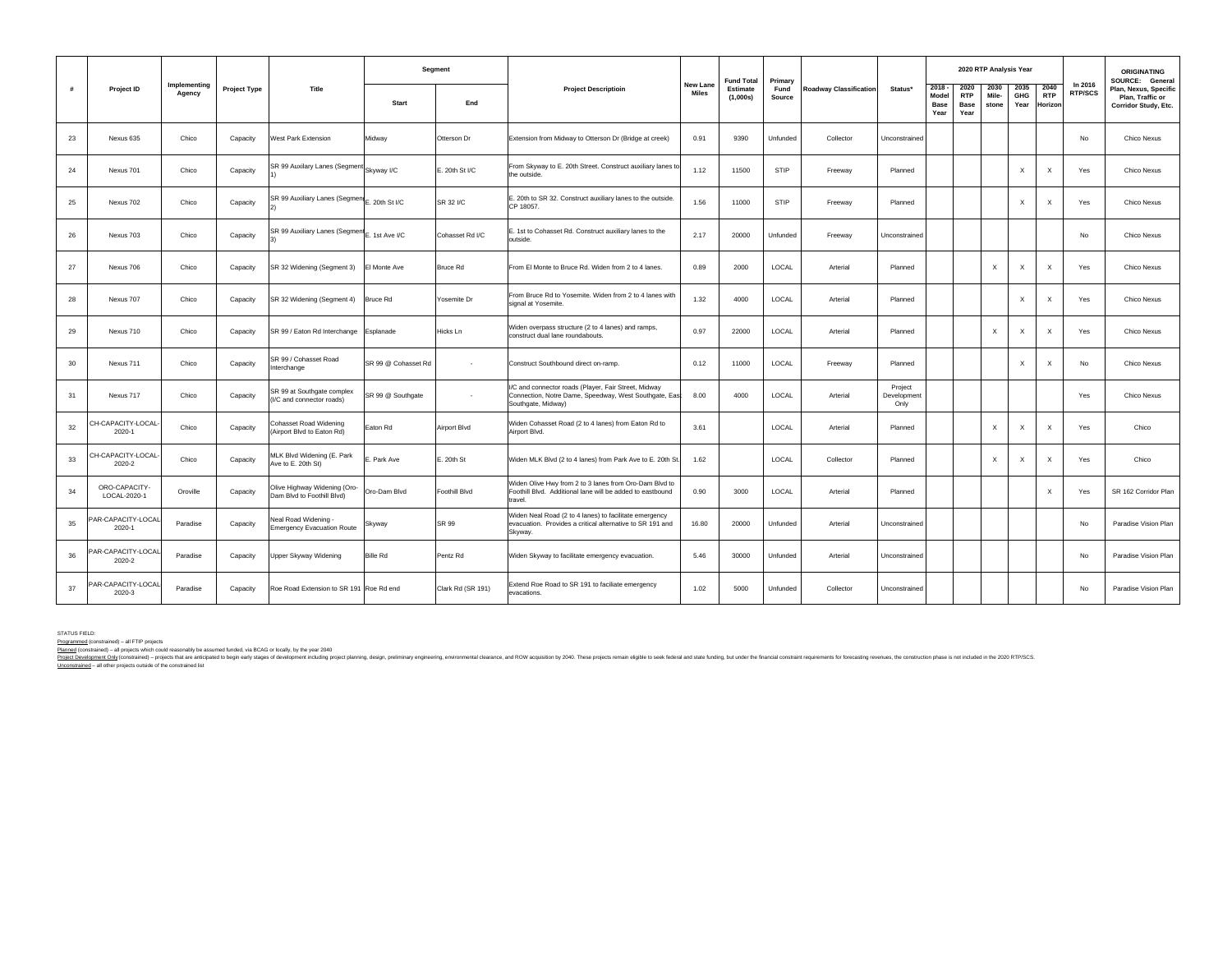|    |                               |                        |                     |                                                            |                     | Segment           |                                                                                                                                      |                                 | <b>Fund Total</b>    | Primary        |                        |                                |                                     |                                           | 2020 RTP Analysis Year    |                           |                               |                           | <b>ORIGINATING</b><br>SOURCE: General                             |
|----|-------------------------------|------------------------|---------------------|------------------------------------------------------------|---------------------|-------------------|--------------------------------------------------------------------------------------------------------------------------------------|---------------------------------|----------------------|----------------|------------------------|--------------------------------|-------------------------------------|-------------------------------------------|---------------------------|---------------------------|-------------------------------|---------------------------|-------------------------------------------------------------------|
| #  | Project ID                    | Implementing<br>Agency | <b>Project Type</b> | Title                                                      | Start               | End               | <b>Project Descriptioin</b>                                                                                                          | <b>New Lane</b><br><b>Miles</b> | Estimate<br>(1,000s) | Fund<br>Source | Roadway Classification | Status*                        | 2018<br>Mode<br><b>Base</b><br>Year | 2020<br><b>RTP</b><br><b>Base</b><br>Year | 2030<br>Mile-<br>stone    | 2035<br>GHG<br>Year       | 2040<br><b>RTP</b><br>Horizon | In 2016<br><b>RTP/SCS</b> | Plan, Nexus, Specific<br>Plan, Traffic or<br>Corridor Study, Etc. |
| 23 | Nexus 635                     | Chico                  | Capacity            | West Park Extension                                        | Midway              | Otterson Dr       | Extension from Midway to Otterson Dr (Bridge at creek)                                                                               | 0.91                            | 9390                 | Unfunded       | Collector              | Unconstrained                  |                                     |                                           |                           |                           |                               | No                        | Chico Nexus                                                       |
| 24 | Nexus 701                     | Chico                  | Capacity            | SR 99 Auxilary Lanes (Segment Skyway I/C                   |                     | E. 20th St I/C    | From Skyway to E. 20th Street. Construct auxiliary lanes to<br>the outside.                                                          | 1.12                            | 11500                | STIP           | Freeway                | Planned                        |                                     |                                           |                           | X                         | $\boldsymbol{\mathsf{x}}$     | Yes                       | Chico Nexus                                                       |
| 25 | Nexus 702                     | Chico                  | Capacity            | SR 99 Auxiliary Lanes (Segment E. 20th St I/C              |                     | SR 32 I/C         | E. 20th to SR 32. Construct auxiliary lanes to the outside.<br>CP 18057.                                                             | 1.56                            | 11000                | STIP           | Freeway                | Planned                        |                                     |                                           |                           | X                         | $\boldsymbol{\mathsf{X}}$     | Yes                       | Chico Nexus                                                       |
| 26 | Nexus 703                     | Chico                  | Capacity            | SR 99 Auxiliary Lanes (Segment E. 1st Ave I/C              |                     | Cohasset Rd I/C   | E. 1st to Cohasset Rd. Construct auxiliary lanes to the<br>outside.                                                                  | 2.17                            | 20000                | Unfunded       | Freeway                | Unconstrained                  |                                     |                                           |                           |                           |                               | No                        | Chico Nexus                                                       |
| 27 | Nexus 706                     | Chico                  | Capacity            | SR 32 Widening (Segment 3)                                 | El Monte Ave        | <b>Bruce Rd</b>   | From El Monte to Bruce Rd. Widen from 2 to 4 lanes.                                                                                  | 0.89                            | 2000                 | LOCAL          | Arterial               | Planned                        |                                     |                                           | $\boldsymbol{\mathsf{X}}$ | $\boldsymbol{\mathsf{x}}$ | $\boldsymbol{\mathsf{X}}$     | Yes                       | Chico Nexus                                                       |
| 28 | Nexus 707                     | Chico                  | Capacity            | SR 32 Widening (Segment 4)                                 | <b>Bruce Rd</b>     | Yosemite Dr       | From Bruce Rd to Yosemite, Widen from 2 to 4 lanes with<br>signal at Yosemite.                                                       | 1.32                            | 4000                 | LOCAL          | Arterial               | Planned                        |                                     |                                           |                           | $\boldsymbol{\mathsf{x}}$ | $\boldsymbol{\mathsf{x}}$     | Yes                       | Chico Nexus                                                       |
| 29 | Nexus 710                     | Chico                  | Capacity            | SR 99 / Eaton Rd Interchange                               | Esplanade           | Hicks Ln          | Widen overpass structure (2 to 4 lanes) and ramps,<br>construct dual lane roundabouts.                                               | 0.97                            | 22000                | LOCAL          | Arterial               | Planned                        |                                     |                                           | $\boldsymbol{\mathsf{X}}$ | X                         | $\boldsymbol{\mathsf{X}}$     | Yes                       | Chico Nexus                                                       |
| 30 | Nexus 711                     | Chico                  | Capacity            | SR 99 / Cohasset Road<br>Interchange                       | SR 99 @ Cohasset Rd |                   | Construct Southbound direct on-ramp.                                                                                                 | 0.12                            | 11000                | LOCAL          | Freeway                | Planned                        |                                     |                                           |                           | X                         | $\boldsymbol{\mathsf{x}}$     | No                        | Chico Nexus                                                       |
| 31 | Nexus 717                     | Chico                  | Capacity            | SR 99 at Southgate complex<br>I/C and connector roads)     | SR 99 @ Southgate   | ٠                 | I/C and connector roads (Player, Fair Street, Midway<br>Connection, Notre Dame, Speedway, West Southgate, East<br>Southgate, Midway) | 8.00                            | 4000                 | LOCAL          | Arterial               | Project<br>Development<br>Only |                                     |                                           |                           |                           |                               | Yes                       | Chico Nexus                                                       |
| 32 | CH-CAPACITY-LOCAL<br>2020-1   | Chico                  | Capacity            | Cohasset Road Widening<br>Airport Blvd to Eaton Rd)        | Eaton Rd            | Airport Blvd      | Widen Cohasset Road (2 to 4 lanes) from Eaton Rd to<br>Airport Blvd.                                                                 | 3.61                            |                      | LOCAL          | Arterial               | Planned                        |                                     |                                           | $\boldsymbol{\mathsf{X}}$ | X                         | $\boldsymbol{\mathsf{x}}$     | Yes                       | Chico                                                             |
| 33 | CH-CAPACITY-LOCAL-<br>2020-2  | Chico                  | Capacity            | MLK Blvd Widening (E. Park<br>Ave to E. 20th St)           | E. Park Ave         | E. 20th St        | Widen MLK Blvd (2 to 4 lanes) from Park Ave to E. 20th St.                                                                           | 1.62                            |                      | LOCAL          | Collector              | Planned                        |                                     |                                           | $\boldsymbol{\mathsf{x}}$ | X                         | $\boldsymbol{\mathsf{X}}$     | Yes                       | Chico                                                             |
| 34 | ORO-CAPACITY-<br>LOCAL-2020-1 | Oroville               | Capacity            | Olive Highway Widening (Oro-<br>Dam Blvd to Foothill Blvd) | Oro-Dam Blvd        | Foothill Blvd     | Widen Olive Hwy from 2 to 3 lanes from Oro-Dam Blvd to<br>Foothill Blvd. Additional lane will be added to eastbound<br>travel.       | 0.90                            | 3000                 | LOCAL          | Arterial               | Planned                        |                                     |                                           |                           |                           | $\boldsymbol{\mathsf{x}}$     | Yes                       | SR 162 Corridor Plan                                              |
| 35 | AR-CAPACITY-LOCAL<br>2020-1   | Paradise               | Capacity            | Neal Road Widening -<br><b>Emergency Evacuation Route</b>  | Skyway              | SR 99             | Widen Neal Road (2 to 4 lanes) to facilitate emergency<br>evacuation. Provides a critical alternative to SR 191 and<br>Skyway.       | 16.80                           | 20000                | Unfunded       | Arterial               | Unconstrained                  |                                     |                                           |                           |                           |                               | No                        | Paradise Vision Plan                                              |
| 36 | AR-CAPACITY-LOCAL<br>2020-2   | Paradise               | Capacity            | Upper Skyway Widening                                      | <b>Bille Rd</b>     | Pentz Rd          | Widen Skyway to facilitate emergency evacuation.                                                                                     | 5.46                            | 30000                | Unfunded       | Arterial               | Unconstrained                  |                                     |                                           |                           |                           |                               | No                        | Paradise Vision Plan                                              |
| 37 | PAR-CAPACITY-LOCAL<br>2020-3  | Paradise               | Capacity            | Roe Road Extension to SR 191 Roe Rd end                    |                     | Clark Rd (SR 191) | Extend Roe Road to SR 191 to faciliate emergency<br>evacations.                                                                      | 1.02                            | 5000                 | Unfunded       | Collector              | Unconstrained                  |                                     |                                           |                           |                           |                               | No                        | Paradise Vision Plan                                              |

STATUS FIELD:<br><u>Programmed</u> (constrained) – all FTIP projects<br>Planned (constrained) – all projects which could reasonably be assumed funded, via BCAG or locally, by the year 2040

P<u>iodecoment Only</u> construction project that are antipated to begin early stages of development induding project planning, design, preliminary engineering, environmental destance, and ROW acquisition by 2040. These project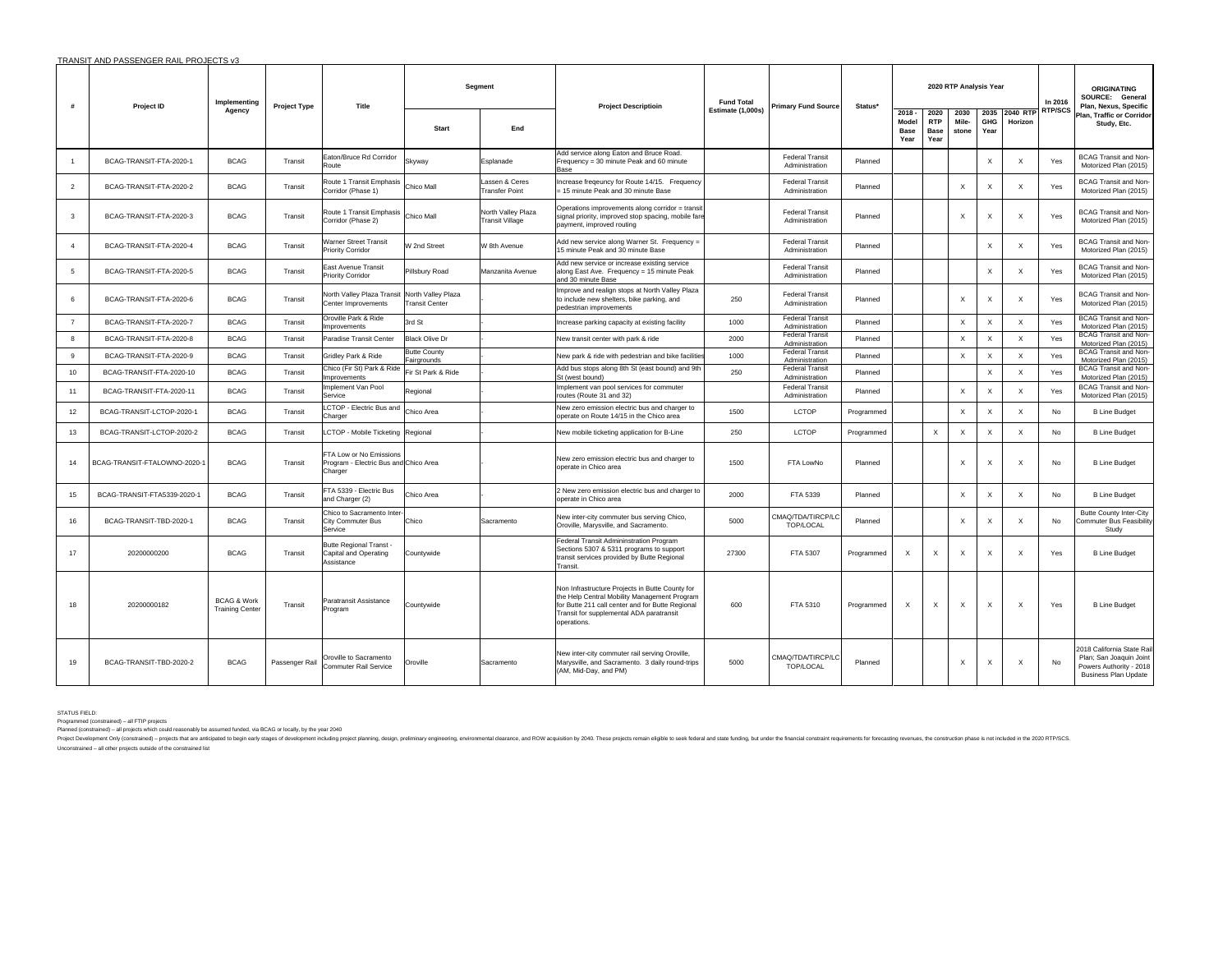| #              | Project ID                   | Implementing                                     | <b>Project Type</b> | Title                                                                       |                                             | Segment                                      | <b>Project Descriptioin</b>                                                                                                                                                                                    | <b>Fund Total</b> | <b>Primary Fund Source</b>               | Status*    |                                          |                                    | 2020 RTP Analysis Year |                           |                           | In 2016        | <b>ORIGINATING</b><br>SOURCE: General<br>Plan, Nexus, Specific                                                  |
|----------------|------------------------------|--------------------------------------------------|---------------------|-----------------------------------------------------------------------------|---------------------------------------------|----------------------------------------------|----------------------------------------------------------------------------------------------------------------------------------------------------------------------------------------------------------------|-------------------|------------------------------------------|------------|------------------------------------------|------------------------------------|------------------------|---------------------------|---------------------------|----------------|-----------------------------------------------------------------------------------------------------------------|
|                |                              | Agency                                           |                     |                                                                             | <b>Start</b>                                | End                                          |                                                                                                                                                                                                                | Estimate (1,000s) |                                          |            | $2018 -$<br>Model<br><b>Base</b><br>Year | 2020<br><b>RTP</b><br>Base<br>Year | 2030<br>Mile-<br>stone | <b>GHG</b><br>Year        | 2035 2040 RTP<br>Horizon  | <b>RTP/SCS</b> | Plan, Traffic or Corridor<br>Study, Etc.                                                                        |
| $\overline{1}$ | BCAG-TRANSIT-FTA-2020-1      | <b>BCAG</b>                                      | Transit             | Eaton/Bruce Rd Corridor<br>Route                                            | Skyway                                      | Esplanade                                    | Add service along Eaton and Bruce Road.<br>Frequency = 30 minute Peak and 60 minute<br><b>Base</b>                                                                                                             |                   | <b>Federal Transit</b><br>Administration | Planned    |                                          |                                    |                        | $\boldsymbol{\mathsf{X}}$ | $\times$                  | Yes            | <b>BCAG Transit and Non-</b><br>Motorized Plan (2015)                                                           |
| $\overline{2}$ | BCAG-TRANSIT-FTA-2020-2      | <b>BCAG</b>                                      | Transit             | Route 1 Transit Emphasis<br>Corridor (Phase 1)                              | Chico Mall                                  | Lassen & Ceres<br><b>Transfer Point</b>      | Increase freqeuncy for Route 14/15. Frequency<br>15 minute Peak and 30 minute Base                                                                                                                             |                   | <b>Federal Transit</b><br>Administration | Planned    |                                          |                                    | X                      | $\boldsymbol{\mathsf{X}}$ | $\times$                  | Yes            | <b>BCAG Transit and Non-</b><br>Motorized Plan (2015)                                                           |
| 3              | BCAG-TRANSIT-FTA-2020-3      | <b>BCAG</b>                                      | Transit             | Route 1 Transit Emphasis<br>Corridor (Phase 2)                              | Chico Mall                                  | North Valley Plaza<br><b>Transit Village</b> | Operations improvements along corridor = transit<br>signal priority, improved stop spacing, mobile fare<br>payment, improved routing                                                                           |                   | <b>Federal Transit</b><br>Administration | Planned    |                                          |                                    | X                      | $\boldsymbol{\mathsf{X}}$ | $\times$                  | Yes            | <b>BCAG Transit and Non-</b><br>Motorized Plan (2015)                                                           |
| $\overline{4}$ | BCAG-TRANSIT-FTA-2020-4      | <b>BCAG</b>                                      | Transit             | Warner Street Transit<br>Priority Corridor                                  | W 2nd Street                                | W 8th Avenue                                 | Add new service along Warner St. Frequency =<br>15 minute Peak and 30 minute Base                                                                                                                              |                   | <b>Federal Transit</b><br>Administration | Planned    |                                          |                                    |                        | $\boldsymbol{\mathsf{X}}$ | $\times$                  | Yes            | <b>BCAG Transit and Non-</b><br>Motorized Plan (2015)                                                           |
| 5              | BCAG-TRANSIT-FTA-2020-5      | <b>BCAG</b>                                      | Transit             | East Avenue Transit<br><b>Priority Corridor</b>                             | Pillsbury Road                              | Manzanita Avenue                             | Add new service or increase existing service<br>along East Ave. Frequency = 15 minute Peak<br>and 30 minute Base                                                                                               |                   | <b>Federal Transit</b><br>Administration | Planned    |                                          |                                    |                        | $\boldsymbol{\mathsf{X}}$ | $\times$                  | Yes            | <b>BCAG Transit and Non-</b><br>Motorized Plan (2015)                                                           |
| 6              | BCAG-TRANSIT-FTA-2020-6      | <b>BCAG</b>                                      | Transit             | North Valley Plaza Transit<br>Center Improvements                           | North Valley Plaza<br><b>Transit Center</b> |                                              | Improve and realign stops at North Valley Plaza<br>to include new shelters, bike parking, and<br>pedestrian improvements                                                                                       | 250               | <b>Federal Transit</b><br>Administration | Planned    |                                          |                                    | X                      | $\boldsymbol{\mathsf{X}}$ | $\times$                  | Yes            | BCAG Transit and Non-<br>Motorized Plan (2015)                                                                  |
| $\overline{7}$ | BCAG-TRANSIT-FTA-2020-7      | <b>BCAG</b>                                      | Transit             | Oroville Park & Ride<br>Improvements                                        | 3rd St                                      |                                              | Increase parking capacity at existing facility                                                                                                                                                                 | 1000              | <b>Federal Transit</b><br>Administration | Planned    |                                          |                                    | $\mathsf{x}$           | $\boldsymbol{\mathsf{X}}$ | X                         | Yes            | BCAG Transit and Non-<br>Motorized Plan (2015)                                                                  |
| 8              | BCAG-TRANSIT-FTA-2020-8      | <b>BCAG</b>                                      | Transit             | Paradise Transit Center                                                     | <b>Black Olive Dr</b>                       |                                              | New transit center with park & ride                                                                                                                                                                            | 2000              | <b>Federal Transit</b><br>Administration | Planned    |                                          |                                    | $\times$               | $\times$                  | $\boldsymbol{\mathsf{x}}$ | Yes            | <b>BCAG Transit and Non-</b><br>Motorized Plan (2015)                                                           |
| 9              | BCAG-TRANSIT-FTA-2020-9      | <b>BCAG</b>                                      | Transit             | Gridley Park & Ride                                                         | <b>Butte County</b><br>Fairgrounds          |                                              | New park & ride with pedestrian and bike facilitie                                                                                                                                                             | 1000              | <b>Federal Transit</b><br>Administration | Planned    |                                          |                                    | $\times$               | $\boldsymbol{\mathsf{X}}$ | X                         | Yes            | BCAG Transit and Non-<br>Motorized Plan (2015)                                                                  |
| 10             | BCAG-TRANSIT-FTA-2020-10     | <b>BCAG</b>                                      | Transit             | Chico (Fir St) Park & Ride<br>Improvements                                  | Fir St Park & Ride                          |                                              | Add bus stops along 8th St (east bound) and 9th<br>St (west bound)                                                                                                                                             | 250               | <b>Federal Transit</b><br>Administration | Planned    |                                          |                                    |                        | $\boldsymbol{\mathsf{X}}$ | $\boldsymbol{\mathsf{x}}$ | Yes            | BCAG Transit and Non-<br>Motorized Plan (2015)                                                                  |
| 11             | BCAG-TRANSIT-FTA-2020-11     | <b>BCAG</b>                                      | Transit             | Implement Van Pool<br>Service                                               | Regional                                    |                                              | Implement van pool services for commuter<br>routes (Route 31 and 32)                                                                                                                                           |                   | <b>Federal Transit</b><br>Administration | Planned    |                                          |                                    | $\mathsf{x}$           | X                         | $\times$                  | Yes            | <b>BCAG Transit and Non-</b><br>Motorized Plan (2015)                                                           |
| 12             | BCAG-TRANSIT-LCTOP-2020-1    | <b>BCAG</b>                                      | Transit             | LCTOP - Electric Bus and<br>Charger                                         | Chico Area                                  |                                              | New zero emission electric bus and charger to<br>operate on Route 14/15 in the Chico area                                                                                                                      | 1500              | LCTOP                                    | Programmed |                                          |                                    | $\mathsf{x}$           | $\times$                  | $\times$                  | No             | <b>B Line Budget</b>                                                                                            |
| 13             | BCAG-TRANSIT-LCTOP-2020-2    | <b>BCAG</b>                                      | Transit             | LCTOP - Mobile Ticketing Regional                                           |                                             |                                              | New mobile ticketing application for B-Line                                                                                                                                                                    | 250               | LCTOP                                    | Programmed |                                          | $\boldsymbol{\mathsf{x}}$          | X                      | $\boldsymbol{\mathsf{X}}$ | $\times$                  | No             | <b>B Line Budget</b>                                                                                            |
| 14             | BCAG-TRANSIT-FTALOWNO-2020-1 | <b>BCAG</b>                                      | Transit             | FTA Low or No Emissions<br>Program - Electric Bus and Chico Area<br>Charger |                                             |                                              | New zero emission electric bus and charger to<br>operate in Chico area                                                                                                                                         | 1500              | FTA LowNo                                | Planned    |                                          |                                    | $\mathsf{x}$           | $\boldsymbol{\mathsf{X}}$ | $\times$                  | No             | <b>B Line Budget</b>                                                                                            |
| 15             | BCAG-TRANSIT-FTA5339-2020-1  | <b>BCAG</b>                                      | Transit             | FTA 5339 - Electric Bus<br>and Charger (2)                                  | Chico Area                                  |                                              | 2 New zero emission electric bus and charger to<br>operate in Chico area                                                                                                                                       | 2000              | FTA 5339                                 | Planned    |                                          |                                    | $\times$               | $\boldsymbol{\mathsf{X}}$ | $\times$                  | No             | <b>B Line Budget</b>                                                                                            |
| 16             | BCAG-TRANSIT-TBD-2020-1      | <b>BCAG</b>                                      | Transit             | Chico to Sacramento Inter-<br>City Commuter Bus<br>Service                  | Chico                                       | Sacramento                                   | New inter-city commuter bus serving Chico,<br>Oroville, Marysville, and Sacramento.                                                                                                                            | 5000              | CMAQ/TDA/TIRCP/LC<br>TOP/LOCAL           | Planned    |                                          |                                    | X                      | $\boldsymbol{\mathsf{X}}$ | $\times$                  | No             | Butte County Inter-City<br><b>Commuter Bus Feasibility</b><br>Study                                             |
| 17             | 20200000200                  | <b>BCAG</b>                                      | Transit             | <b>Butte Regional Transt -</b><br>Capital and Operating<br>Assistance       | Countywide                                  |                                              | Federal Transit Admininstration Program<br>Sections 5307 & 5311 programs to support<br>transit services provided by Butte Regional<br>Transit.                                                                 | 27300             | FTA 5307                                 | Programmed | $\boldsymbol{\mathsf{X}}$                | $\boldsymbol{\mathsf{X}}$          | $\times$               | $\boldsymbol{\mathsf{X}}$ | $\boldsymbol{\mathsf{x}}$ | Yes            | <b>B Line Budget</b>                                                                                            |
| 18             | 20200000182                  | <b>BCAG &amp; Work</b><br><b>Training Center</b> | Transit             | Paratransit Assistance<br>Program                                           | Countywide                                  |                                              | Non Infrastructure Projects in Butte County for<br>the Help Central Mobility Management Program<br>for Butte 211 call center and for Butte Regional<br>Transit for supplemental ADA paratransit<br>operations. | 600               | FTA 5310                                 | Programmed | $\boldsymbol{\mathsf{x}}$                | X                                  | $\mathsf{x}$           | $\boldsymbol{\mathsf{X}}$ | $\boldsymbol{\mathsf{x}}$ | Yes            | <b>B Line Budget</b>                                                                                            |
| 19             | BCAG-TRANSIT-TBD-2020-2      | <b>BCAG</b>                                      | Passenger Rail      | Oroville to Sacramento<br><b>Commuter Rail Service</b>                      | Oroville                                    | Sacramento                                   | New inter-city commuter rail serving Oroville,<br>Marysville, and Sacramento. 3 daily round-trips<br>(AM, Mid-Day, and PM)                                                                                     | 5000              | CMAQ/TDA/TIRCP/LC<br>TOP/LOCAL           | Planned    |                                          |                                    | X                      | $\boldsymbol{\mathsf{x}}$ | $\times$                  | No             | 2018 California State Rail<br>Plan; San Joaquin Joint<br>Powers Authority - 2018<br><b>Business Plan Update</b> |

STATUS FIELD:<br>Programmed (constrained) – all FTIP projects<br>Planned (constrained) – all projects which could reasonably be assumed funded, via BCAG or locally, by the year 2040

Projectom Only (constrained) – project that are anticated to begin early stages of development including project planning, design, preliminary engineering, environmental cleanance, and ROW acquisition by 2040. These projec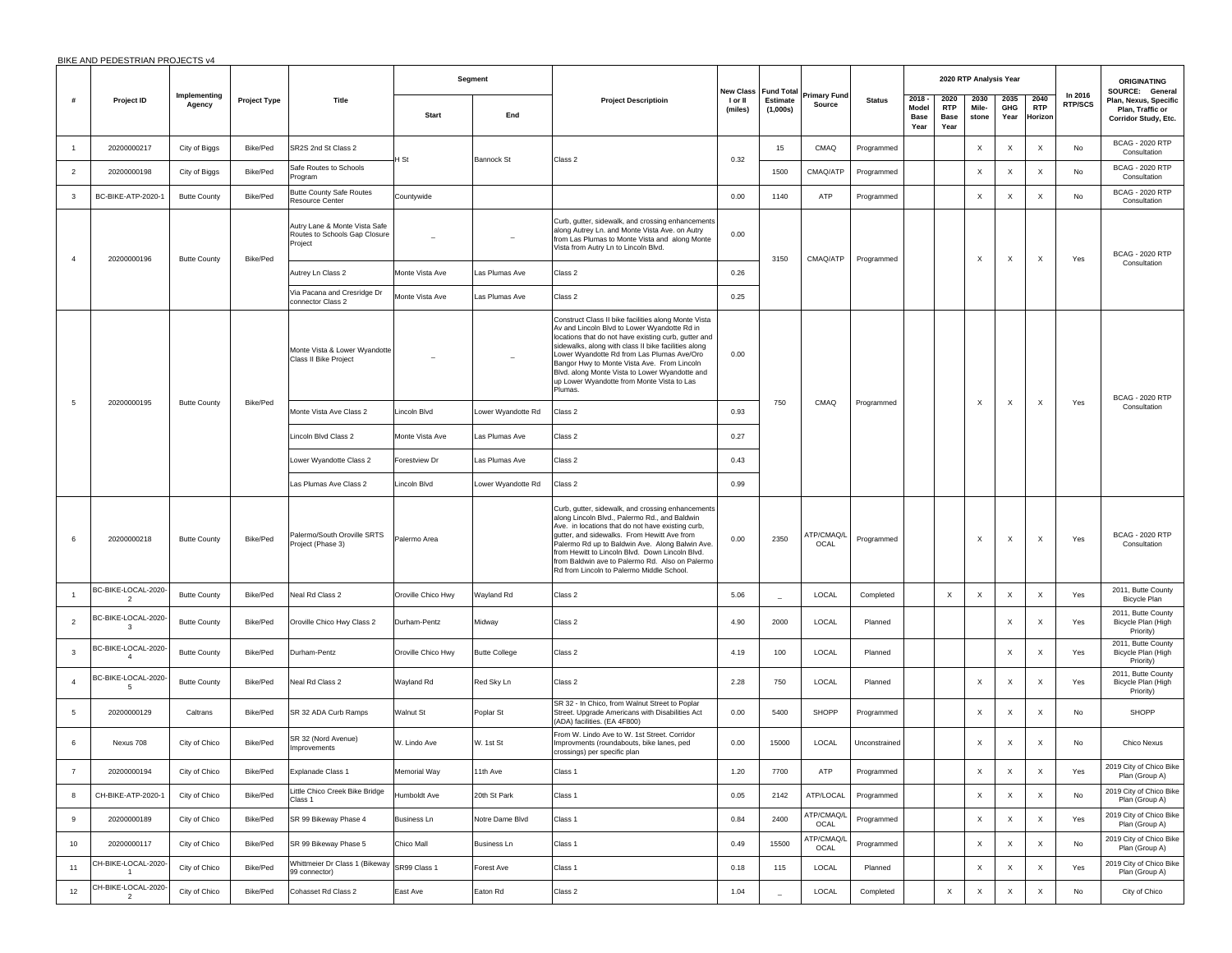|  |  | BIKE AND PEDESTRIAN PROJECTS v4 |
|--|--|---------------------------------|
|--|--|---------------------------------|

|                | <b>DIRE AND LEDESTRANT ROSECTS V4</b> |                        |                     |                                                                           |                    | Segment              |                                                                                                                                                                                                                                                                                                                                                                                                                              | New Class<br><b>Fund Total</b> |                          | Primary Fund       |               |                                   | 2020 RTP Analysis Year             |                           |                           |                               | <b>ORIGINATING</b>        |                                                                                      |
|----------------|---------------------------------------|------------------------|---------------------|---------------------------------------------------------------------------|--------------------|----------------------|------------------------------------------------------------------------------------------------------------------------------------------------------------------------------------------------------------------------------------------------------------------------------------------------------------------------------------------------------------------------------------------------------------------------------|--------------------------------|--------------------------|--------------------|---------------|-----------------------------------|------------------------------------|---------------------------|---------------------------|-------------------------------|---------------------------|--------------------------------------------------------------------------------------|
| #              | Project ID                            | Implementing<br>Agency | <b>Project Type</b> | <b>Title</b>                                                              | <b>Start</b>       | End                  | <b>Project Descriptioin</b>                                                                                                                                                                                                                                                                                                                                                                                                  | I or II<br>(miles)             | Estimate<br>(1,000s)     | Source             | <b>Status</b> | $2018 -$<br>Model<br>Base<br>Year | 2020<br><b>RTP</b><br>Base<br>Year | 2030<br>Mile-<br>stone    | 2035<br>GHG<br>Year       | 2040<br><b>RTP</b><br>Horizon | In 2016<br><b>RTP/SCS</b> | SOURCE: General<br>Plan, Nexus, Specific<br>Plan, Traffic or<br>Corridor Study, Etc. |
|                | 20200000217                           | City of Biggs          | Bike/Ped            | SR2S 2nd St Class 2                                                       |                    |                      |                                                                                                                                                                                                                                                                                                                                                                                                                              |                                | 15                       | CMAQ               | Programmed    |                                   |                                    | $\boldsymbol{\mathsf{X}}$ | $\boldsymbol{\mathsf{x}}$ | X                             | No                        | <b>BCAG - 2020 RTP</b><br>Consultation                                               |
| $\overline{2}$ | 20200000198                           | City of Biggs          | Bike/Ped            | Safe Routes to Schools<br>Program                                         | l St               | <b>Bannock St</b>    | Class 2                                                                                                                                                                                                                                                                                                                                                                                                                      | 0.32                           | 1500                     | CMAQ/ATP           | Programmed    |                                   |                                    | $\boldsymbol{\mathsf{X}}$ | $\boldsymbol{\mathsf{X}}$ | $\mathsf X$                   | No                        | <b>BCAG - 2020 RTP</b><br>Consultation                                               |
| 3              | BC-BIKE-ATP-2020-1                    | <b>Butte County</b>    | Bike/Ped            | <b>Butte County Safe Routes</b><br>Resource Center                        | Countywide         |                      |                                                                                                                                                                                                                                                                                                                                                                                                                              | 0.00                           | 1140                     | ATP                | Programmed    |                                   |                                    | $\boldsymbol{\mathsf{X}}$ | $\boldsymbol{\mathsf{X}}$ | $\times$                      | No                        | <b>BCAG - 2020 RTP</b><br>Consultation                                               |
| $\overline{a}$ | 20200000196                           | <b>Butte County</b>    | Bike/Ped            | Autry Lane & Monte Vista Safe<br>Routes to Schools Gap Closure<br>Project |                    |                      | Curb, gutter, sidewalk, and crossing enhancements<br>along Autrey Ln. and Monte Vista Ave. on Autry<br>from Las Plumas to Monte Vista and along Monte<br>Vista from Autry Ln to Lincoln Blvd.                                                                                                                                                                                                                                | 0.00                           | 3150                     | CMAQ/ATP           | Programmed    |                                   |                                    | $\boldsymbol{\mathsf{x}}$ | $\boldsymbol{\mathsf{x}}$ | $\times$                      | Yes                       | <b>BCAG - 2020 RTP</b>                                                               |
|                |                                       |                        |                     | Autrey Ln Class 2                                                         | Monte Vista Ave    | Las Plumas Ave       | Class 2                                                                                                                                                                                                                                                                                                                                                                                                                      | 0.26                           |                          |                    |               |                                   |                                    |                           |                           |                               |                           | Consultation                                                                         |
|                |                                       |                        |                     | Via Pacana and Cresridge Dr<br>connector Class 2                          | Monte Vista Ave    | Las Plumas Ave       | Class 2                                                                                                                                                                                                                                                                                                                                                                                                                      | 0.25                           |                          |                    |               |                                   |                                    |                           |                           |                               |                           |                                                                                      |
|                |                                       |                        |                     | Monte Vista & Lower Wyandotte<br>Class II Bike Project                    |                    |                      | Construct Class II bike facilities along Monte Vista<br>Av and Lincoln Blvd to Lower Wyandotte Rd in<br>locations that do not have existing curb, gutter and<br>sidewalks, along with class II bike facilities along<br>Lower Wyandotte Rd from Las Plumas Ave/Oro<br>Bangor Hwy to Monte Vista Ave. From Lincoln<br>Blvd. along Monte Vista to Lower Wyandotte and<br>up Lower Wyandotte from Monte Vista to Las<br>Plumas. | 0.00                           |                          |                    |               |                                   |                                    |                           |                           |                               |                           | <b>BCAG - 2020 RTP</b>                                                               |
|                | 20200000195                           | <b>Butte County</b>    | Bike/Ped            | Monte Vista Ave Class 2                                                   | Lincoln Blvd       | Lower Wyandotte Rd   | Class 2                                                                                                                                                                                                                                                                                                                                                                                                                      | 0.93                           | 750                      | CMAQ               | Programmed    |                                   |                                    | $\boldsymbol{\mathsf{x}}$ | $\boldsymbol{\mathsf{X}}$ | $\times$                      | Yes                       | Consultation                                                                         |
|                |                                       |                        |                     | Lincoln Blvd Class 2                                                      | Monte Vista Ave    | Las Plumas Ave       | Class 2                                                                                                                                                                                                                                                                                                                                                                                                                      | 0.27                           |                          |                    |               |                                   |                                    |                           |                           |                               |                           |                                                                                      |
|                |                                       |                        |                     | Lower Wyandotte Class 2                                                   | Forestview Dr      | Las Plumas Ave       | Class 2                                                                                                                                                                                                                                                                                                                                                                                                                      | 0.43                           |                          |                    |               |                                   |                                    |                           |                           |                               |                           |                                                                                      |
|                |                                       |                        |                     | Las Plumas Ave Class 2                                                    | Lincoln Blvd       | Lower Wyandotte Rd   | Class 2                                                                                                                                                                                                                                                                                                                                                                                                                      | 0.99                           |                          |                    |               |                                   |                                    |                           |                           |                               |                           |                                                                                      |
|                | 20200000218                           | <b>Butte County</b>    | Bike/Ped            | Palermo/South Oroville SRTS<br>Project (Phase 3)                          | Palermo Area       |                      | Curb, gutter, sidewalk, and crossing enhancements<br>along Lincoln Blvd., Palermo Rd., and Baldwin<br>Ave. in locations that do not have existing curb,<br>gutter, and sidewalks. From Hewitt Ave from<br>Palermo Rd up to Baldwin Ave. Along Balwin Ave.<br>from Hewitt to Lincoln Blvd. Down Lincoln Blvd.<br>from Baldwin ave to Palermo Rd. Also on Palermo<br>Rd from Lincoln to Palermo Middle School.                 | 0.00                           | 2350                     | ATP/CMAQ/L<br>OCAL | Programmed    |                                   |                                    | $\boldsymbol{\mathsf{x}}$ | $\boldsymbol{\mathsf{x}}$ | $\times$                      | Yes                       | <b>BCAG - 2020 RTP</b><br>Consultation                                               |
|                | BC-BIKE-LOCAL-2020-<br>$\overline{2}$ | <b>Butte County</b>    | Bike/Ped            | Neal Rd Class 2                                                           | Oroville Chico Hwy | Wayland Rd           | Class 2                                                                                                                                                                                                                                                                                                                                                                                                                      | 5.06                           | $\overline{\phantom{a}}$ | LOCAL              | Completed     |                                   | X                                  | $\boldsymbol{\mathsf{x}}$ | $\times$                  | $\times$                      | Yes                       | 2011, Butte County<br>Bicycle Plan                                                   |
| $\overline{2}$ | BC-BIKE-LOCAL-2020-<br>-3             | <b>Butte County</b>    | Bike/Ped            | Oroville Chico Hwy Class 2                                                | Durham-Pentz       | Midway               | Class 2                                                                                                                                                                                                                                                                                                                                                                                                                      | 4.90                           | 2000                     | LOCAL              | Planned       |                                   |                                    |                           | $\mathsf X$               | $\times$                      | Yes                       | 2011, Butte County<br>Bicycle Plan (High<br>Priority)                                |
| 3              | BC-BIKE-LOCAL-2020-<br>$\overline{4}$ | <b>Butte County</b>    | Bike/Ped            | Durham-Pentz                                                              | Oroville Chico Hwy | <b>Butte College</b> | Class 2                                                                                                                                                                                                                                                                                                                                                                                                                      | 4.19                           | 100                      | LOCAL              | Planned       |                                   |                                    |                           | $\times$                  | $\times$                      | Yes                       | 2011, Butte County<br>Bicycle Plan (High<br>Priority)                                |
| $\overline{4}$ | BC-BIKE-LOCAL-2020-<br>5              | <b>Butte County</b>    | Bike/Ped            | Neal Rd Class 2                                                           | Wayland Rd         | Red Sky Ln           | Class 2                                                                                                                                                                                                                                                                                                                                                                                                                      | 2.28                           | 750                      | LOCAL              | Planned       |                                   |                                    | $\boldsymbol{\mathsf{X}}$ | $\mathsf X$               | $\times$                      | Yes                       | 2011, Butte County<br>Bicycle Plan (High<br>Priority)                                |
| 5              | 20200000129                           | Caltrans               | Bike/Ped            | SR 32 ADA Curb Ramps                                                      | Walnut St          | Poplar St            | SR 32 - In Chico, from Walnut Street to Poplar<br>Street. Upgrade Americans with Disabilities Act<br>(ADA) facilities. (EA 4F800)                                                                                                                                                                                                                                                                                            | 0.00                           | 5400                     | SHOPP              | Programmed    |                                   |                                    | $\times$                  | $\boldsymbol{\mathsf{x}}$ | $\times$                      | No                        | SHOPP                                                                                |
| 6              | Nexus 708                             | City of Chico          | Bike/Ped            | SR 32 (Nord Avenue)<br>Improvements                                       | W. Lindo Ave       | W. 1st St            | From W. Lindo Ave to W. 1st Street. Corridor<br>Improvments (roundabouts, bike lanes, ped<br>crossings) per specific plan                                                                                                                                                                                                                                                                                                    | 0.00                           | 15000                    | LOCAL              | Unconstrained |                                   |                                    | $\times$                  | $\times$                  | $\times$                      | No                        | Chico Nexus                                                                          |
|                | 20200000194                           | City of Chico          | Bike/Ped            | Explanade Class 1                                                         | Memorial Way       | 11th Ave             | Class 1                                                                                                                                                                                                                                                                                                                                                                                                                      | 1.20                           | 7700                     | ATP                | Programmed    |                                   |                                    | $\boldsymbol{\mathsf{X}}$ | $\times$                  | $\times$                      | Yes                       | 2019 City of Chico Bike<br>Plan (Group A)                                            |
| 8              | CH-BIKE-ATP-2020-1                    | City of Chico          | Bike/Ped            | Little Chico Creek Bike Bridge<br>Class 1                                 | Humboldt Ave       | 20th St Park         | Class 1                                                                                                                                                                                                                                                                                                                                                                                                                      | 0.05                           | 2142                     | ATP/LOCAL          | Programmed    |                                   |                                    | $\mathsf X$               | $\mathsf X$               | $\times$                      | No                        | 2019 City of Chico Bike<br>Plan (Group A)                                            |
| 9              | 20200000189                           | City of Chico          | Bike/Ped            | SR 99 Bikeway Phase 4                                                     | <b>Business Ln</b> | Notre Dame Blvd      | Class 1                                                                                                                                                                                                                                                                                                                                                                                                                      | 0.84                           | 2400                     | ATP/CMAQ/L<br>OCAL | Programmed    |                                   |                                    | $\boldsymbol{\mathsf{X}}$ | $\boldsymbol{\mathsf{X}}$ | $\times$                      | Yes                       | 2019 City of Chico Bike<br>Plan (Group A)                                            |
| 10             | 20200000117                           | City of Chico          | Bike/Ped            | SR 99 Bikeway Phase 5                                                     | Chico Mall         | <b>Business Ln</b>   | Class 1                                                                                                                                                                                                                                                                                                                                                                                                                      | 0.49                           | 15500                    | ATP/CMAQ/L<br>OCAL | Programmed    |                                   |                                    | $\boldsymbol{\mathsf{x}}$ | $\boldsymbol{\mathsf{X}}$ | $\times$                      | No                        | 2019 City of Chico Bike<br>Plan (Group A)                                            |
| 11             | CH-BIKE-LOCAL-2020                    | City of Chico          | <b>Bike/Ped</b>     | Whittmeier Dr Class 1 (Bikeway<br>99 connector)                           | SR99 Class 1       | Forest Ave           | Class 1                                                                                                                                                                                                                                                                                                                                                                                                                      | 0.18                           | 115                      | LOCAL              | Planned       |                                   |                                    | $\boldsymbol{\mathsf{x}}$ | $\mathsf X$               | $\mathsf X$                   | Yes                       | 2019 City of Chico Bike<br>Plan (Group A)                                            |
| 12             | CH-BIKE-LOCAL-2020<br>$\overline{2}$  | City of Chico          | Bike/Ped            | Cohasset Rd Class 2                                                       | East Ave           | Eaton Rd             | Class 2                                                                                                                                                                                                                                                                                                                                                                                                                      | 1.04                           |                          | LOCAL              | Completed     |                                   | $\boldsymbol{\mathsf{x}}$          | $\boldsymbol{\mathsf{x}}$ | $\mathsf X$               | $\mathsf X$                   | No                        | City of Chico                                                                        |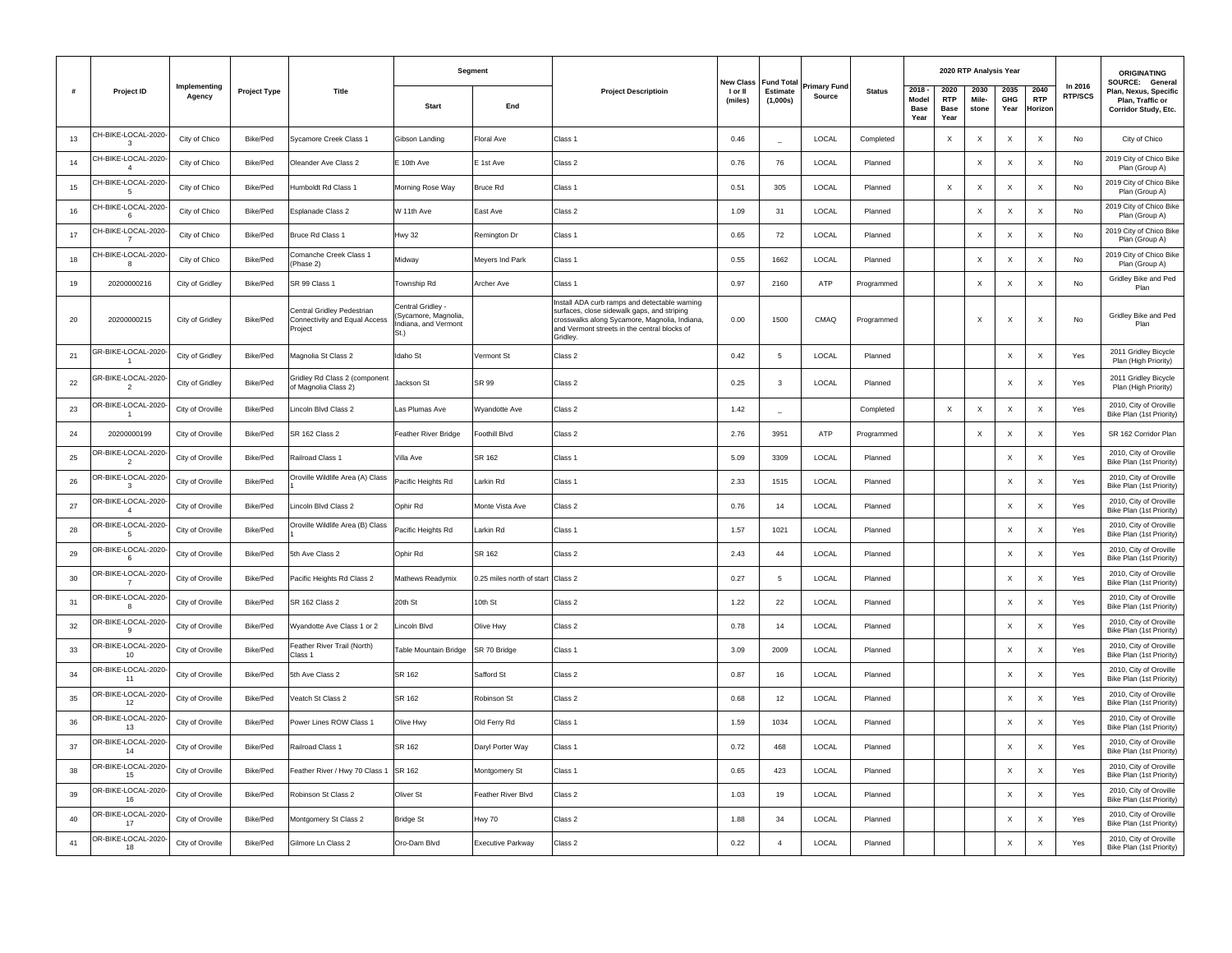|    |                                      |                        |                     |                                                                       | Segment                                                                   |                                   |                                                                                                                                                                                                           |                    | New Class<br><b>Fund Tota</b> |                       |               |                                          | 2020 RTP Analysis Year                    |                           |                            |                               |                           | <b>ORIGINATING</b>                                                                   |
|----|--------------------------------------|------------------------|---------------------|-----------------------------------------------------------------------|---------------------------------------------------------------------------|-----------------------------------|-----------------------------------------------------------------------------------------------------------------------------------------------------------------------------------------------------------|--------------------|-------------------------------|-----------------------|---------------|------------------------------------------|-------------------------------------------|---------------------------|----------------------------|-------------------------------|---------------------------|--------------------------------------------------------------------------------------|
| #  | <b>Project ID</b>                    | Implementing<br>Agency | <b>Project Type</b> | Title                                                                 | Start                                                                     | End                               | <b>Project Descriptioin</b>                                                                                                                                                                               | l or II<br>(miles) | Estimate<br>(1,000s)          | rimary Fund<br>Source | <b>Status</b> | $2018 -$<br>Model<br><b>Base</b><br>Year | 2020<br><b>RTP</b><br><b>Base</b><br>Year | 2030<br>Mile-<br>stone    | 2035<br><b>GHG</b><br>Year | 2040<br><b>RTP</b><br>Horizor | In 2016<br><b>RTP/SCS</b> | SOURCE: General<br>Plan, Nexus, Specific<br>Plan, Traffic or<br>Corridor Study, Etc. |
| 13 | CH-BIKE-LOCAL-2020<br>3              | City of Chico          | Bike/Ped            | Sycamore Creek Class 1                                                | Gibson Landing                                                            | Floral Ave                        | Class 1                                                                                                                                                                                                   | 0.46               |                               | LOCAL                 | Completed     |                                          | $\times$                                  | $\times$                  | $\times$                   | $\times$                      | No                        | City of Chico                                                                        |
| 14 | CH-BIKE-LOCAL-2020<br>$\overline{4}$ | City of Chico          | Bike/Ped            | Oleander Ave Class 2                                                  | E 10th Ave                                                                | E 1st Ave                         | Class 2                                                                                                                                                                                                   | 0.76               | 76                            | LOCAL                 | Planned       |                                          |                                           | $\times$                  | $\times$                   | $\times$                      | No                        | 2019 City of Chico Bike<br>Plan (Group A)                                            |
| 15 | CH-BIKE-LOCAL-2020<br>5              | City of Chico          | Bike/Ped            | Humboldt Rd Class 1                                                   | Morning Rose Way                                                          | <b>Bruce Rd</b>                   | Class 1                                                                                                                                                                                                   | 0.51               | 305                           | LOCAL                 | Planned       |                                          | $\mathsf X$                               | $\boldsymbol{\mathsf{x}}$ | $\mathsf X$                | $\times$                      | No                        | 2019 City of Chico Bike<br>Plan (Group A)                                            |
| 16 | CH-BIKE-LOCAL-2020<br>6              | City of Chico          | Bike/Ped            | Esplanade Class 2                                                     | W 11th Ave                                                                | East Ave                          | Class 2                                                                                                                                                                                                   | 1.09               | 31                            | LOCAL                 | Planned       |                                          |                                           | $\times$                  | $\times$                   | $\times$                      | No                        | 2019 City of Chico Bike<br>Plan (Group A)                                            |
| 17 | CH-BIKE-LOCAL-2020<br>$\overline{7}$ | City of Chico          | Bike/Ped            | <b>Bruce Rd Class 1</b>                                               | <b>Hwy 32</b>                                                             | Remington Dr                      | Class <sub>1</sub>                                                                                                                                                                                        | 0.65               | 72                            | LOCAL                 | Planned       |                                          |                                           | $\mathsf X$               | X                          | $\mathsf X$                   | No                        | 2019 City of Chico Bike<br>Plan (Group A)                                            |
| 18 | CH-BIKE-LOCAL-2020<br>8              | City of Chico          | Bike/Ped            | Comanche Creek Class 1<br>Phase 2)                                    | Midway                                                                    | Meyers Ind Park                   | Class <sub>1</sub>                                                                                                                                                                                        | 0.55               | 1662                          | LOCAL                 | Planned       |                                          |                                           | $\times$                  | $\times$                   | $\times$                      | No                        | 2019 City of Chico Bike<br>Plan (Group A)                                            |
| 19 | 20200000216                          | City of Gridley        | Bike/Ped            | SR 99 Class 1                                                         | Township Rd                                                               | Archer Ave                        | Class 1                                                                                                                                                                                                   | 0.97               | 2160                          | ATP                   | Programmed    |                                          |                                           | $\boldsymbol{\mathsf{x}}$ | $\boldsymbol{\mathsf{x}}$  | $\boldsymbol{\mathsf{X}}$     | No                        | Gridley Bike and Ped<br>Plan                                                         |
| 20 | 20200000215                          | City of Gridley        | Bike/Ped            | entral Gridley Pedestrian<br>Connectivity and Equal Access<br>Project | Central Gridley -<br>(Sycamore, Magnolia,<br>Indiana, and Vermont<br>St.) |                                   | Install ADA curb ramps and detectable warning<br>surfaces, close sidewalk gaps, and striping<br>crosswalks along Sycamore, Magnolia, Indiana,<br>and Vermont streets in the central blocks of<br>Gridley. | 0.00               | 1500                          | CMAQ                  | Programmed    |                                          |                                           | X                         | X                          | $\times$                      | No                        | Gridley Bike and Ped<br>Plan                                                         |
| 21 | GR-BIKE-LOCAL-2020<br>$\mathbf{1}$   | City of Gridley        | Bike/Ped            | Magnolia St Class 2                                                   | Idaho St                                                                  | Vermont St                        | Class 2                                                                                                                                                                                                   | 0.42               | 5                             | LOCAL                 | Planned       |                                          |                                           |                           | $\boldsymbol{\mathsf{X}}$  | $\mathsf X$                   | Yes                       | 2011 Gridley Bicycle<br>Plan (High Priority)                                         |
| 22 | GR-BIKE-LOCAL-2020<br>$\overline{2}$ | City of Gridley        | Bike/Ped            | Gridley Rd Class 2 (component<br>of Magnolia Class 2)                 | Jackson St                                                                | SR 99                             | Class 2                                                                                                                                                                                                   | 0.25               | $\mathbf{3}$                  | LOCAL                 | Planned       |                                          |                                           |                           | X                          | X                             | Yes                       | 2011 Gridley Bicycle<br>Plan (High Priority)                                         |
| 23 | DR-BIKE-LOCAL-2020<br>$\mathbf{1}$   | City of Oroville       | Bike/Ped            | Lincoln Blvd Class 2                                                  | Las Plumas Ave                                                            | Wyandotte Ave                     | Class 2                                                                                                                                                                                                   | 1.42               | ٠                             |                       | Completed     |                                          | $\times$                                  | $\times$                  | $\times$                   | $\mathsf X$                   | Yes                       | 2010, City of Oroville<br>Bike Plan (1st Priority)                                   |
| 24 | 20200000199                          | City of Oroville       | Bike/Ped            | SR 162 Class 2                                                        | Feather River Bridge                                                      | Foothill Blvd                     | Class 2                                                                                                                                                                                                   | 2.76               | 3951                          | ATP                   | Programmed    |                                          |                                           | $\mathsf X$               | $\boldsymbol{\mathsf{X}}$  | $\mathsf X$                   | Yes                       | SR 162 Corridor Plan                                                                 |
| 25 | OR-BIKE-LOCAL-2020<br>$\overline{2}$ | City of Oroville       | Bike/Ped            | Railroad Class 1                                                      | Villa Ave                                                                 | SR 162                            | Class <sub>1</sub>                                                                                                                                                                                        | 5.09               | 3309                          | LOCAL                 | Planned       |                                          |                                           |                           | $\times$                   | $\mathsf X$                   | Yes                       | 2010, City of Oroville<br>Bike Plan (1st Priority)                                   |
| 26 | OR-BIKE-LOCAL-2020<br>3              | City of Oroville       | Bike/Ped            | Oroville Wildlife Area (A) Class                                      | Pacific Heights Rd                                                        | Larkin Rd                         | Class 1                                                                                                                                                                                                   | 2.33               | 1515                          | LOCAL                 | Planned       |                                          |                                           |                           | $\times$                   | $\times$                      | Yes                       | 2010, City of Oroville<br>Bike Plan (1st Priority)                                   |
| 27 | OR-BIKE-LOCAL-2020<br>$\overline{4}$ | City of Oroville       | Bike/Ped            | incoln Blvd Class 2                                                   | Ophir Rd                                                                  | Monte Vista Ave                   | Class 2                                                                                                                                                                                                   | 0.76               | 14                            | LOCAL                 | Planned       |                                          |                                           |                           | $\times$                   | X                             | Yes                       | 2010, City of Oroville<br>Bike Plan (1st Priority)                                   |
| 28 | OR-BIKE-LOCAL-2020<br>5              | City of Oroville       | Bike/Ped            | Oroville Wildlife Area (B) Class                                      | Pacific Heights Rd                                                        | Larkin Rd                         | Class 1                                                                                                                                                                                                   | 1.57               | 1021                          | LOCAL                 | Planned       |                                          |                                           |                           | $\mathsf X$                | $\mathsf X$                   | Yes                       | 2010, City of Oroville<br>Bike Plan (1st Priority)                                   |
| 29 | OR-BIKE-LOCAL-2020-<br>6             | City of Oroville       | Bike/Ped            | 5th Ave Class 2                                                       | Ophir Rd                                                                  | SR 162                            | Class 2                                                                                                                                                                                                   | 2.43               | 44                            | LOCAL                 | Planned       |                                          |                                           |                           | $\times$                   | $\times$                      | Yes                       | 2010, City of Oroville<br>Bike Plan (1st Priority)                                   |
| 30 | DR-BIKE-LOCAL-2020<br>$\overline{7}$ | City of Oroville       | Bike/Ped            | Pacific Heights Rd Class 2                                            | Mathews Readymix                                                          | 0.25 miles north of start Class 2 |                                                                                                                                                                                                           | 0.27               | 5                             | LOCAL                 | Planned       |                                          |                                           |                           | X                          | X                             | Yes                       | 2010, City of Oroville<br>Bike Plan (1st Priority)                                   |
| 31 | DR-BIKE-LOCAL-2020<br>$\mathbf{g}$   | City of Oroville       | Bike/Ped            | SR 162 Class 2                                                        | 20th St                                                                   | Oth St                            | Class 2                                                                                                                                                                                                   | 1.22               | 22                            | LOCAL                 | Planned       |                                          |                                           |                           | $\times$                   | $\boldsymbol{\mathsf{X}}$     | Yes                       | 2010, City of Oroville<br>Bike Plan (1st Priority)                                   |
| 32 | OR-BIKE-LOCAL-2020<br>$\mathbf{q}$   | City of Oroville       | Bike/Ped            | Wyandotte Ave Class 1 or 2                                            | Lincoln Blvd                                                              | Olive Hwy                         | Class 2                                                                                                                                                                                                   | 0.78               | 14                            | LOCAL                 | Planned       |                                          |                                           |                           | $\boldsymbol{\mathsf{X}}$  | $\mathsf X$                   | Yes                       | 2010, City of Oroville<br>Bike Plan (1st Priority)                                   |
| 33 | OR-BIKE-LOCAL-2020-<br>10            | City of Oroville       | Bike/Ped            | Feather River Trail (North)<br>Class 1                                | Table Mountain Bridge                                                     | SR 70 Bridge                      | Class 1                                                                                                                                                                                                   | 3.09               | 2009                          | LOCAL                 | Planned       |                                          |                                           |                           | $\boldsymbol{\mathsf{X}}$  | $\times$                      | Yes                       | 2010, City of Oroville<br>Bike Plan (1st Priority)                                   |
| 34 | OR-BIKE-LOCAL-2020<br>11             | City of Oroville       | Bike/Ped            | 5th Ave Class 2                                                       | SR 162                                                                    | Safford St                        | Class 2                                                                                                                                                                                                   | 0.87               | 16                            | LOCAL                 | Planned       |                                          |                                           |                           | X                          | X                             | Yes                       | 2010, City of Oroville<br>Bike Plan (1st Priority)                                   |
| 35 | OR-BIKE-LOCAL-2020<br>12             | City of Oroville       | Bike/Ped            | Veatch St Class 2                                                     | SR 162                                                                    | Robinson St                       | Class 2                                                                                                                                                                                                   | 0.68               | 12                            | LOCAL                 | Planned       |                                          |                                           |                           | $\times$                   | $\boldsymbol{\mathsf{X}}$     | Yes                       | 2010, City of Oroville<br>Bike Plan (1st Priority)                                   |
| 36 | OR-BIKE-LOCAL-2020-<br>13            | City of Oroville       | Bike/Ped            | Power Lines ROW Class 1                                               | Olive Hwy                                                                 | Old Ferry Rd                      | Class 1                                                                                                                                                                                                   | 1.59               | 1034                          | LOCAL                 | Planned       |                                          |                                           |                           | $\boldsymbol{\mathsf{X}}$  | $\boldsymbol{\mathsf{X}}$     | Yes                       | 2010, City of Oroville<br>Bike Plan (1st Priority)                                   |
| 37 | OR-BIKE-LOCAL-2020-<br>14            | City of Oroville       | Bike/Ped            | Railroad Class 1                                                      | SR 162                                                                    | Daryl Porter Way                  | Class <sub>1</sub>                                                                                                                                                                                        | 0.72               | 468                           | LOCAL                 | Planned       |                                          |                                           |                           | $\boldsymbol{\mathsf{X}}$  | $\times$                      | Yes                       | 2010, City of Oroville<br>Bike Plan (1st Priority)                                   |
| 38 | OR-BIKE-LOCAL-2020<br>15             | City of Oroville       | Bike/Ped            | Feather River / Hwy 70 Class 1                                        | SR 162                                                                    | Montgomery St                     | Class 1                                                                                                                                                                                                   | 0.65               | 423                           | LOCAL                 | Planned       |                                          |                                           |                           | X                          | $\boldsymbol{\mathsf{X}}$     | Yes                       | 2010, City of Oroville<br>Bike Plan (1st Priority)                                   |
| 39 | OR-BIKE-LOCAL-2020<br>16             | City of Oroville       | Bike/Ped            | Robinson St Class 2                                                   | Oliver St                                                                 | Feather River Blvd                | Class 2                                                                                                                                                                                                   | 1.03               | 19                            | LOCAL                 | Planned       |                                          |                                           |                           | $\boldsymbol{\mathsf{X}}$  | $\mathsf{x}$                  | Yes                       | 2010, City of Oroville<br>Bike Plan (1st Priority)                                   |
| 40 | OR-BIKE-LOCAL-2020-<br>17            | City of Oroville       | Bike/Ped            | Montgomery St Class 2                                                 | <b>Bridge St</b>                                                          | Hwy 70                            | Class 2                                                                                                                                                                                                   | 1.88               | 34                            | LOCAL                 | Planned       |                                          |                                           |                           | $\boldsymbol{\mathsf{X}}$  | $\boldsymbol{\mathsf{X}}$     | Yes                       | 2010, City of Oroville<br>Bike Plan (1st Priority)                                   |
| 41 | OR-BIKE-LOCAL-2020-<br>18            | City of Oroville       | Bike/Ped            | Gilmore Ln Class 2                                                    | Oro-Dam Blvd                                                              | <b>Executive Parkway</b>          | Class 2                                                                                                                                                                                                   | 0.22               | $\overline{a}$                | LOCAL                 | Planned       |                                          |                                           |                           | $\times$                   | X                             | Yes                       | 2010, City of Oroville<br>Bike Plan (1st Priority)                                   |